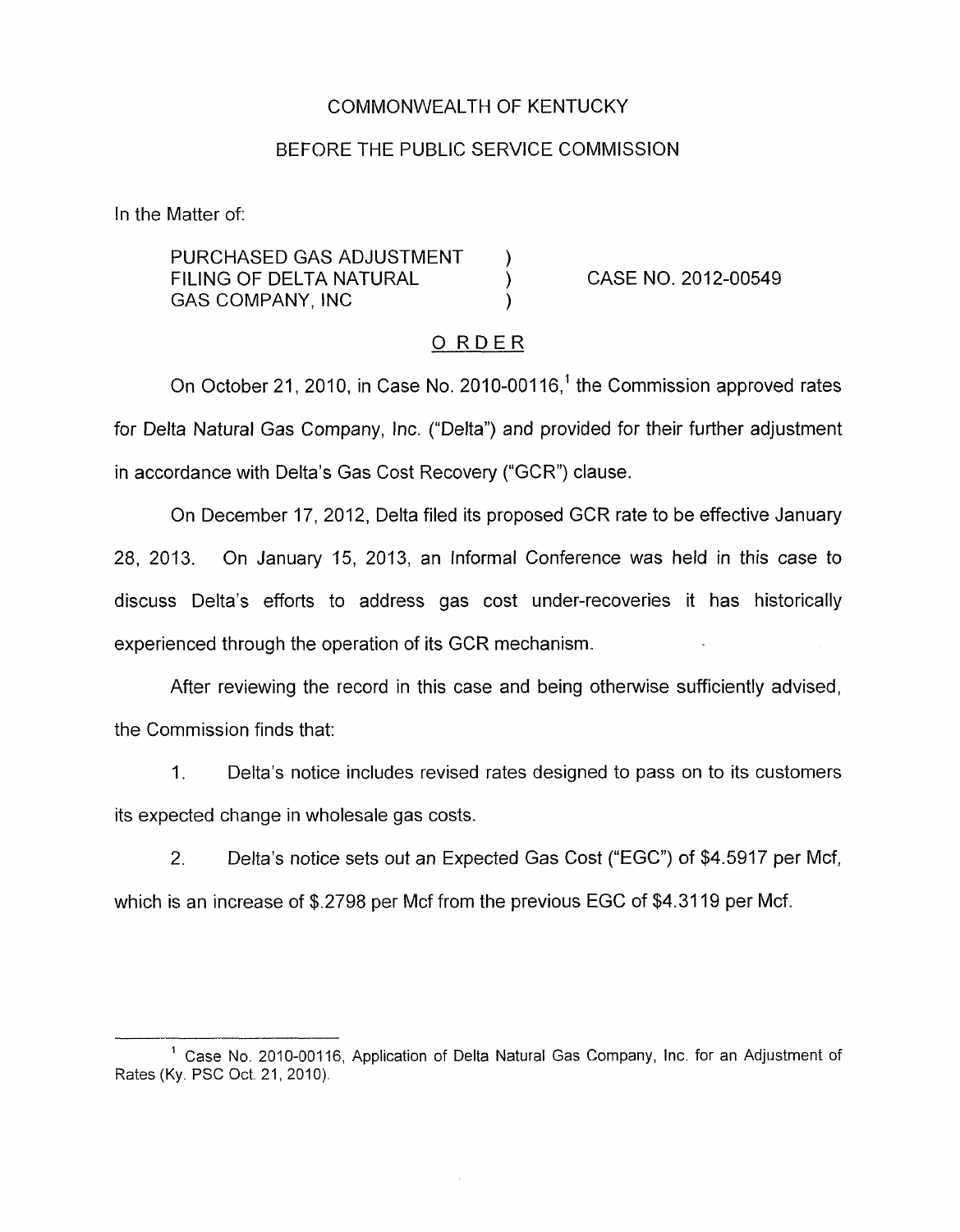### COMMONWEALTH OF KENTUCKY

#### BEFORE THE PUBLIC SERVICE COMMISSION

In the Matter of:

PURCHASED GAS ADJUSTMENT ) FILING OF DELTA NATURAL (a) CASE NO. 2012-00549 GAS COMPANY, INC 1

### 0 RDER

On October 21, 2010, in Case No. 2010-00116,<sup>1</sup> the Commission approved rates for Delta Natural Gas Company, Inc. ("Delta") and provided for their further adjustment in accordance with Delta's Gas Cost Recovery ("GCR") clause.

On December 17, 2012, Delta filed its proposed GCR rate to be effective January 28, 2013. On January 15, 2013, an Informal Conference was held in this case to discuss Delta's efforts to address gas cost under-recoveries it has historically experienced through the operation of its GCR mechanism.

After reviewing the record in this case and being otherwise sufficiently advised, the Commission finds that:

1. Delta's notice includes revised rates designed to pass on to its customers its expected change in wholesale gas costs.

2. Delta's notice sets out an Expected Gas Cost ("EGC") of \$4.5917 per Mcf, which is an increase of \$.2798 per Mcf from the previous EGC of \$4.3119 per Mcf.

<sup>&</sup>lt;sup>1</sup> Case No. 2010-00116, Application of Delta Natural Gas Company, Inc. for an Adjustment of Rates (Ky. PSC Oct. 21, 2010).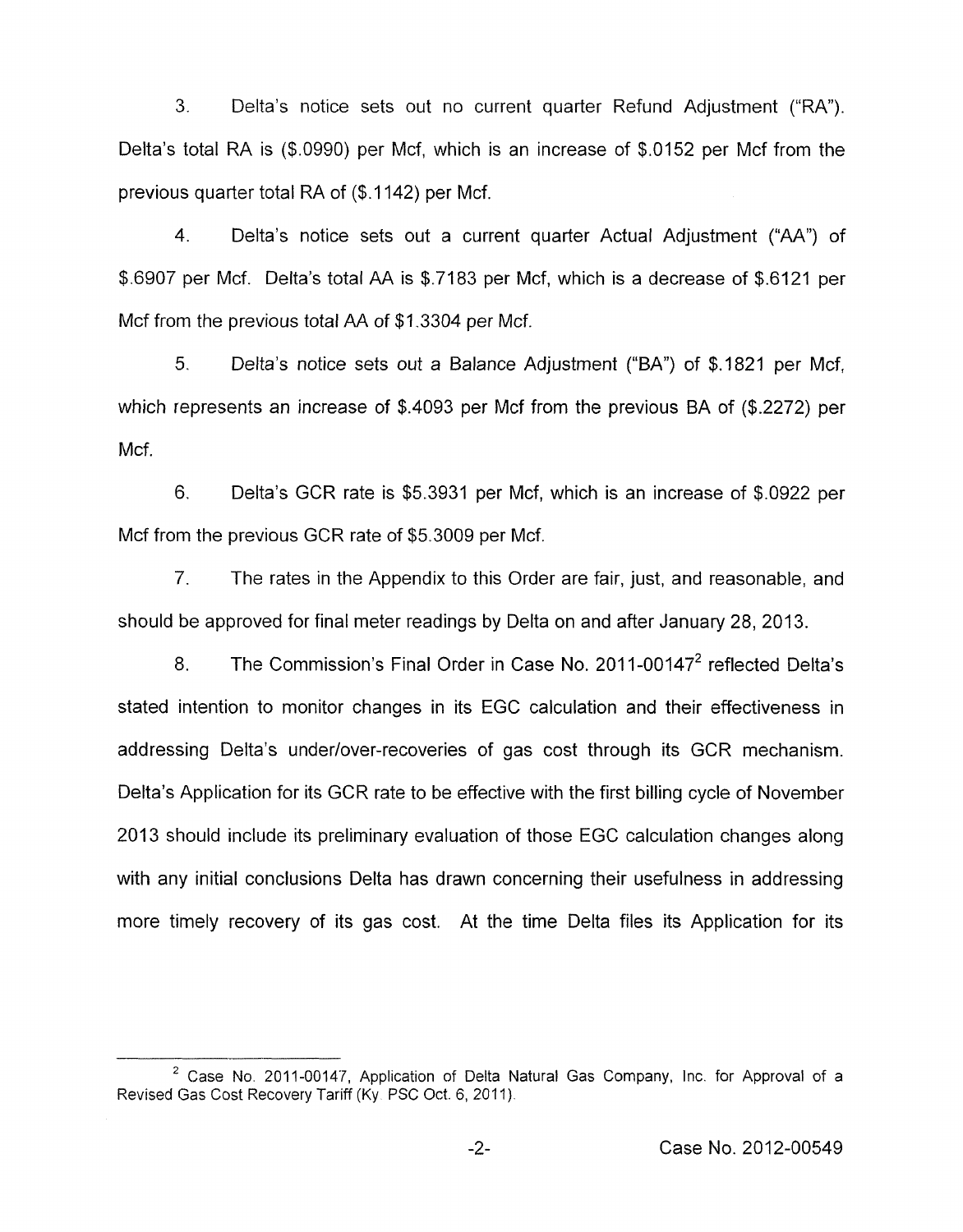**3.** Delta's notice sets out no current quarter Refund Adjustment ("RA"). Delta's total RA is (\$.0990) per Mcf, which is an increase of \$.0152 per Mcf from the previous quarter total RA of (\$.I 142) per Mcf.

4. Delta's notice sets out a current quarter Actual Adjustment ("AA") of \$.6907 per Mcf. Delta's total AA is \$.7183 per Mcf, which is a decrease of \$.6121 per Mcf from the previous total AA of \$1.3304 per Mcf.

*5.* Delta's notice sets out a Balance Adjustment ("BA") of \$.I821 per Mcf, which represents an increase of \$.4093 per Mcf from the previous BA of (\$.2272) per Mcf.

6. Delta's GCR rate is \$5.3931 per Mcf, which is an increase of \$.0922 per Mcf from the previous GCR rate of \$5.3009 per Mcf.

*7.* The rates in the Appendix to this Order are fair, just, and reasonable, and should be approved for final meter readings by Delta on and after January 28, 2013.

8. The Commission's Final Order in Case No. 2011-00147<sup>2</sup> reflected Delta's stated intention to monitor changes in its EGC calculation and their effectiveness in addressing Delta's underlover-recoveries of gas cost through its GCR mechanism. Delta's Application for its GCR rate to be effective with the first billing cycle of November 2013 should include its preliminary evaluation of those EGC calculation changes along with any initial conclusions Delta has drawn concerning their usefulness in addressing more timely recovery of its gas cost. At the time Delta files its Application for its

Case **No.** 2011-00147, Application of Delta Natural Gas Company, Inc. for Approval of a **<sup>2</sup>** Revised Gas Cost Recovery Tariff (Ky. PSC Oct. 6, 2011).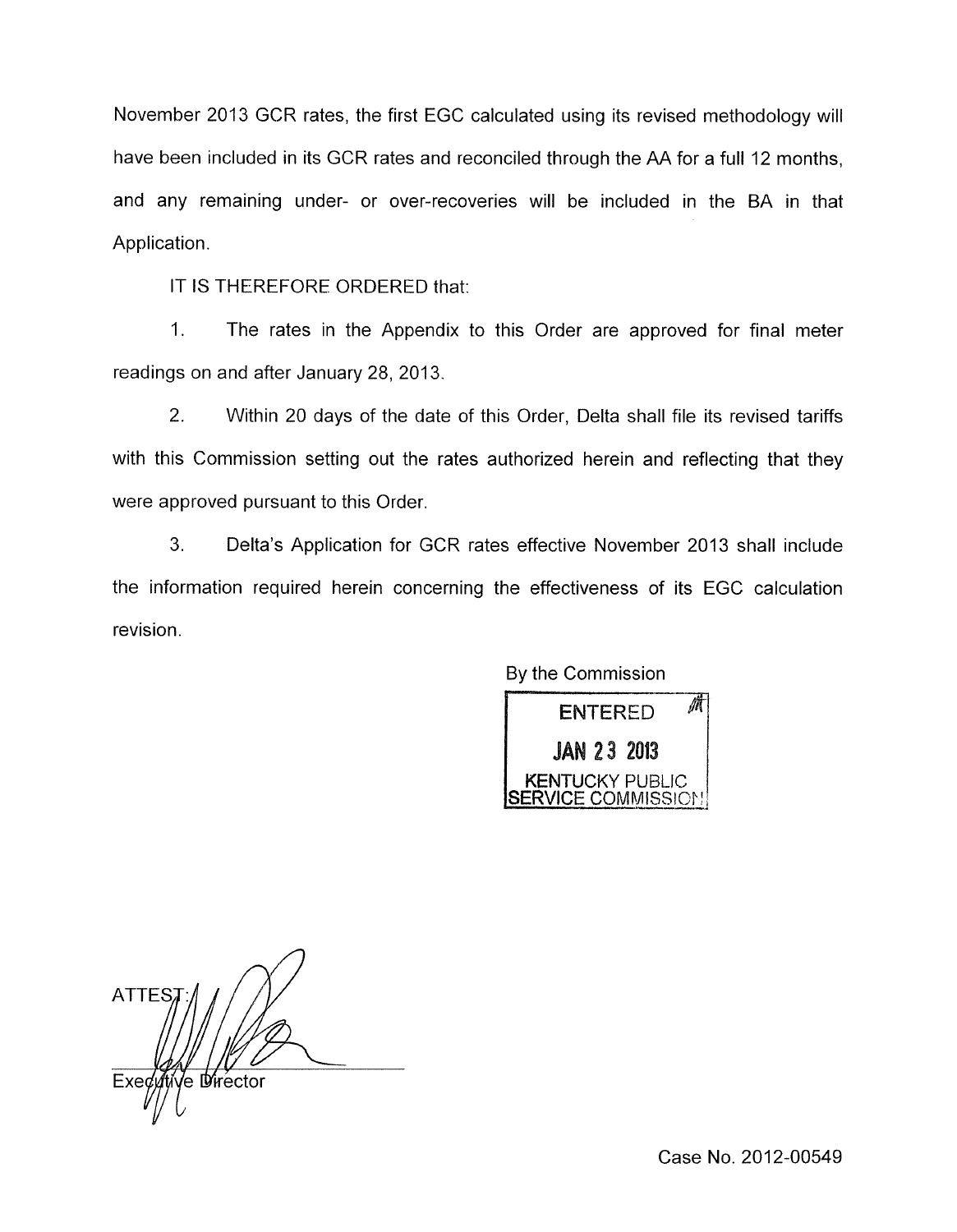November 2013 GCR rates, the first EGC calculated using its revised methodology will have been included in its GCR rates and reconciled through the AA for a full 12 months, and any remaining under- or over-recoveries will be included in the BA in that Application.

IT IS THEREFORE ORDERED that:

1. The rates in the Appendix to this Order are approved for final meter readings on and after January 28, 2013.

2. Within 20 days of the date of this Order, Delta shall file its revised tariffs with this Commission setting out the rates authorized herein and reflecting that they were approved pursuant to this Order.

3. Delta's Application for GCR rates effective November 2013 shall include the information required herein concerning the effectiveness of its EGC calculation revision.

By the Commission



**ATTES** √e ા≸rector Exe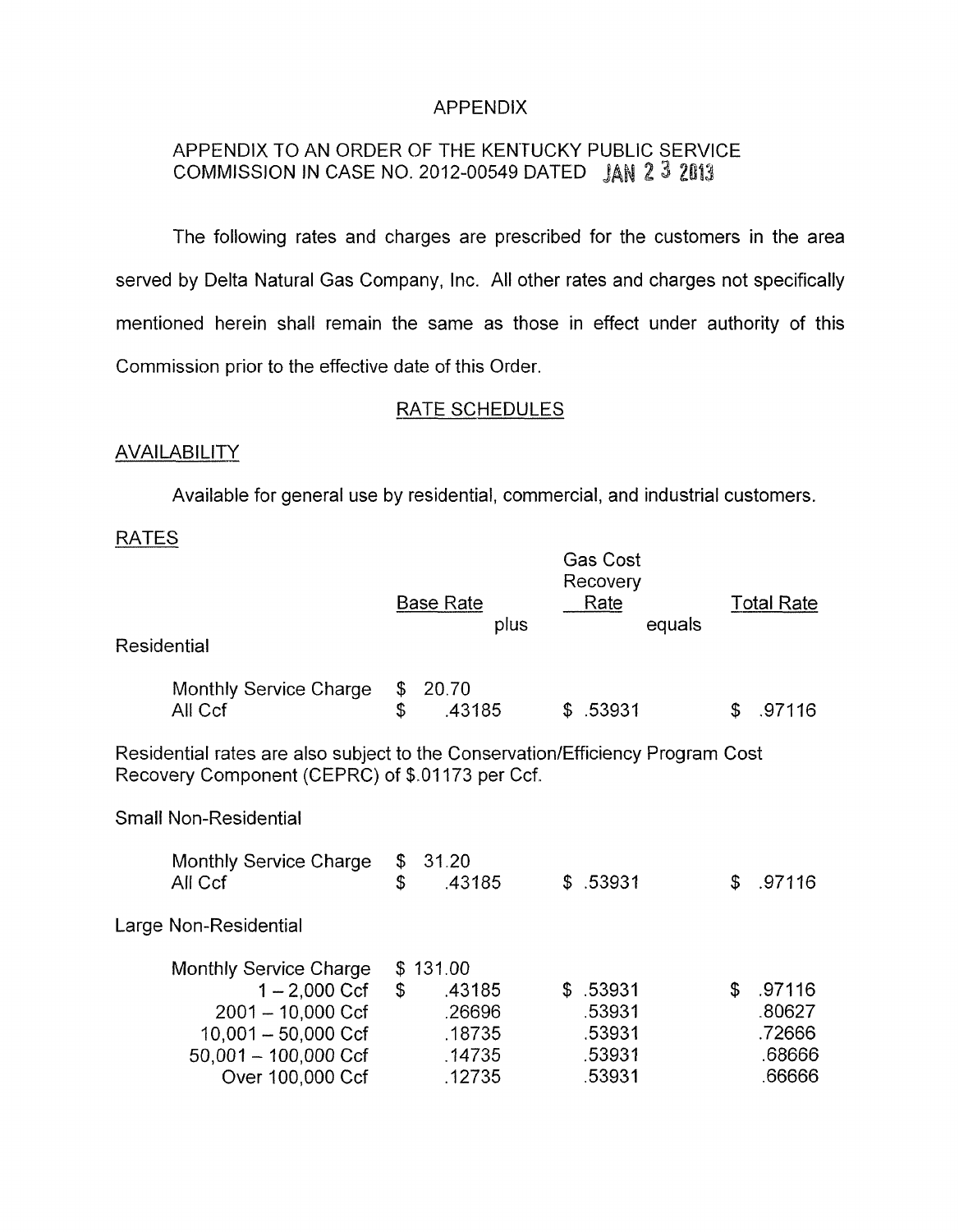## APPENDIX

# APPENDIX TO AN ORDER OF THE KENTUCKY PUBLIC SERVICE COMMISSION IN CASE NO. 2012-00549 DATED JAN 2 3 **<sup>2</sup>**

The following rates and charges are prescribed for the customers in the area served by Delta Natural Gas Company, Inc. All other rates and charges not specifically mentioned herein shall remain the same as those in effect under authority of this Commission prior to the effective date of this Order.

## RATE SCHEDULES

## **AVAILABILITY**

Available for general use by residential, commercial, and industrial customers.

## RATES

| Residential                                                                                                                       |                                                                                                                                       |              | <b>Base Rate</b><br>plus                                   |  | Gas Cost<br>Recovery<br>Rate                     | equals |    | <b>Total Rate</b>                              |
|-----------------------------------------------------------------------------------------------------------------------------------|---------------------------------------------------------------------------------------------------------------------------------------|--------------|------------------------------------------------------------|--|--------------------------------------------------|--------|----|------------------------------------------------|
|                                                                                                                                   | Monthly Service Charge<br>All Ccf                                                                                                     | \$<br>\$     | 20.70<br>.43185                                            |  | \$.53931                                         |        | \$ | .97116                                         |
| Residential rates are also subject to the Conservation/Efficiency Program Cost<br>Recovery Component (CEPRC) of \$.01173 per Ccf. |                                                                                                                                       |              |                                                            |  |                                                  |        |    |                                                |
|                                                                                                                                   | <b>Small Non-Residential</b>                                                                                                          |              |                                                            |  |                                                  |        |    |                                                |
|                                                                                                                                   | Monthly Service Charge<br>All Ccf                                                                                                     | \$<br>\$     | 31.20<br>.43185                                            |  | \$.53931                                         |        | \$ | .97116                                         |
|                                                                                                                                   | Large Non-Residential                                                                                                                 |              |                                                            |  |                                                  |        |    |                                                |
|                                                                                                                                   | Monthly Service Charge<br>1 – 2,000 Ccf<br>$2001 - 10,000$ Ccf<br>$10,001 - 50,000$ Ccf<br>$50,001 - 100,000$ Ccf<br>Over 100,000 Ccf | $\mathbb{S}$ | \$131.00<br>.43185<br>.26696<br>.18735<br>.14735<br>.12735 |  | \$.53931<br>.53931<br>.53931<br>.53931<br>.53931 |        | \$ | .97116<br>.80627<br>.72666<br>.68666<br>.66666 |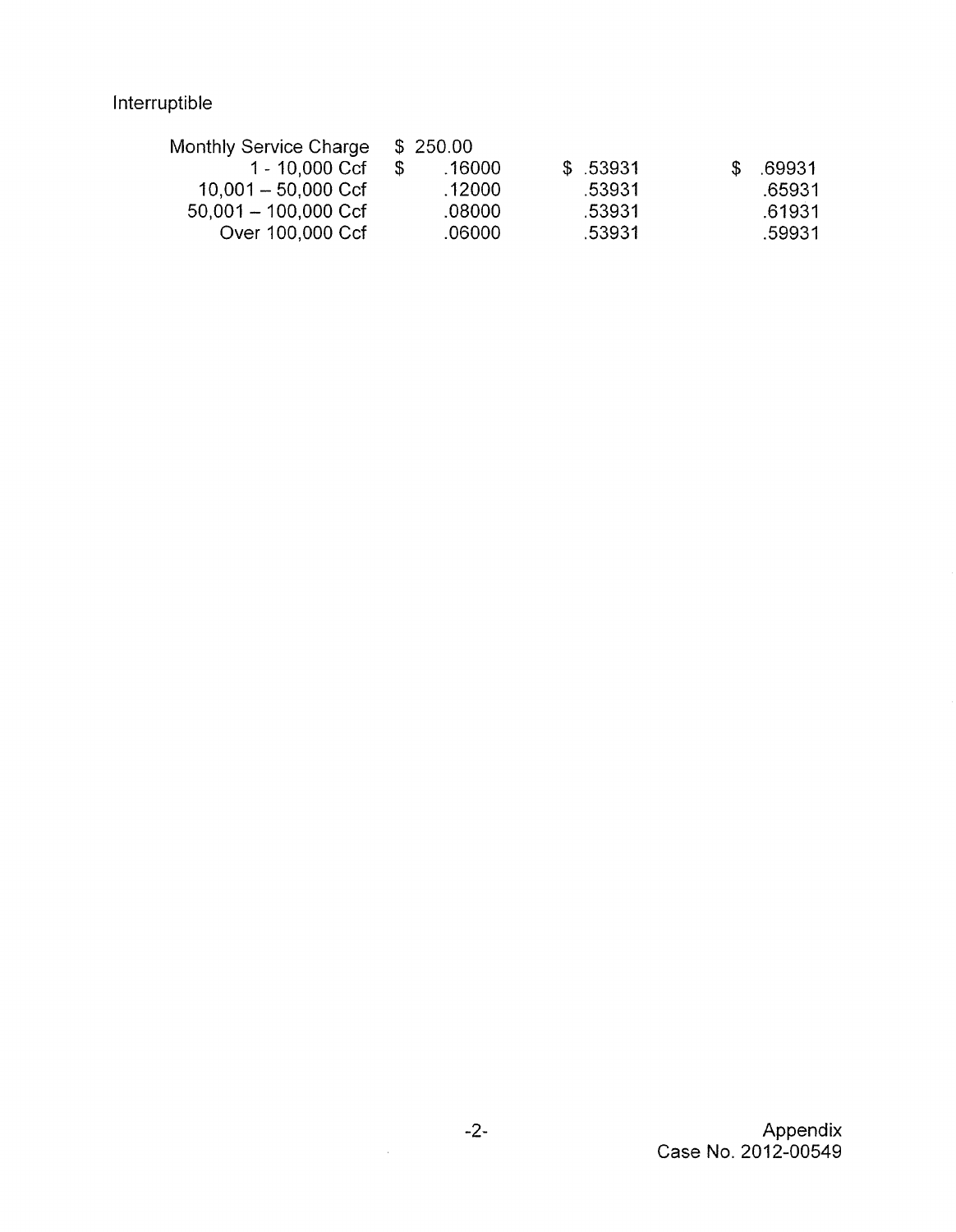| Monthly Service Charge | \$250.00 |          |              |
|------------------------|----------|----------|--------------|
| 1 - 10,000 Ccf         | .16000   | \$.53931 | .69931<br>Æ. |
| $10,001 - 50,000$ Ccf  | .12000   | -53931   | .65931       |
| $50,001 - 100,000$ Ccf | .08000   | .53931   | .61931       |
| Over 100,000 Ccf       | .06000   | .53931   | .59931       |